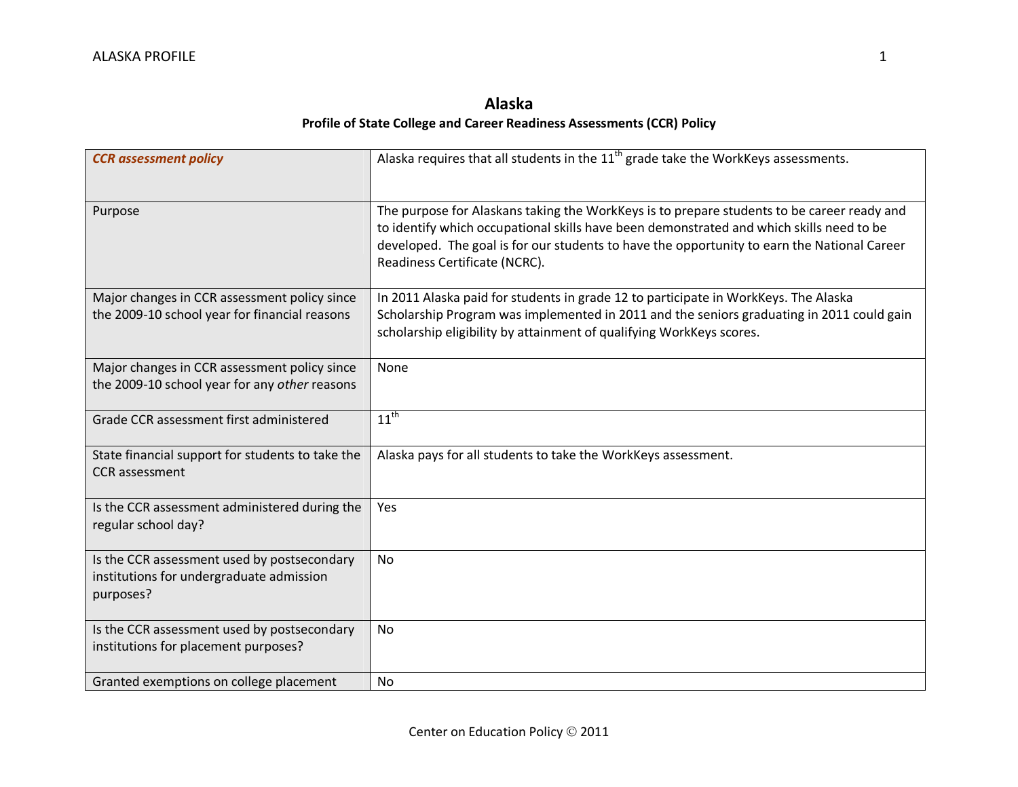## **Alaska Profile of State College and Career Readiness Assessments (CCR) Policy**

| <b>CCR</b> assessment policy                                                                         | Alaska requires that all students in the 11 <sup>th</sup> grade take the WorkKeys assessments.                                                                                                                                                                                                                         |
|------------------------------------------------------------------------------------------------------|------------------------------------------------------------------------------------------------------------------------------------------------------------------------------------------------------------------------------------------------------------------------------------------------------------------------|
| Purpose                                                                                              | The purpose for Alaskans taking the WorkKeys is to prepare students to be career ready and<br>to identify which occupational skills have been demonstrated and which skills need to be<br>developed. The goal is for our students to have the opportunity to earn the National Career<br>Readiness Certificate (NCRC). |
| Major changes in CCR assessment policy since<br>the 2009-10 school year for financial reasons        | In 2011 Alaska paid for students in grade 12 to participate in WorkKeys. The Alaska<br>Scholarship Program was implemented in 2011 and the seniors graduating in 2011 could gain<br>scholarship eligibility by attainment of qualifying WorkKeys scores.                                                               |
| Major changes in CCR assessment policy since<br>the 2009-10 school year for any other reasons        | None                                                                                                                                                                                                                                                                                                                   |
| Grade CCR assessment first administered                                                              | $11^{th}$                                                                                                                                                                                                                                                                                                              |
| State financial support for students to take the<br><b>CCR</b> assessment                            | Alaska pays for all students to take the WorkKeys assessment.                                                                                                                                                                                                                                                          |
| Is the CCR assessment administered during the<br>regular school day?                                 | Yes                                                                                                                                                                                                                                                                                                                    |
| Is the CCR assessment used by postsecondary<br>institutions for undergraduate admission<br>purposes? | No                                                                                                                                                                                                                                                                                                                     |
| Is the CCR assessment used by postsecondary<br>institutions for placement purposes?                  | No                                                                                                                                                                                                                                                                                                                     |
| Granted exemptions on college placement                                                              | No                                                                                                                                                                                                                                                                                                                     |